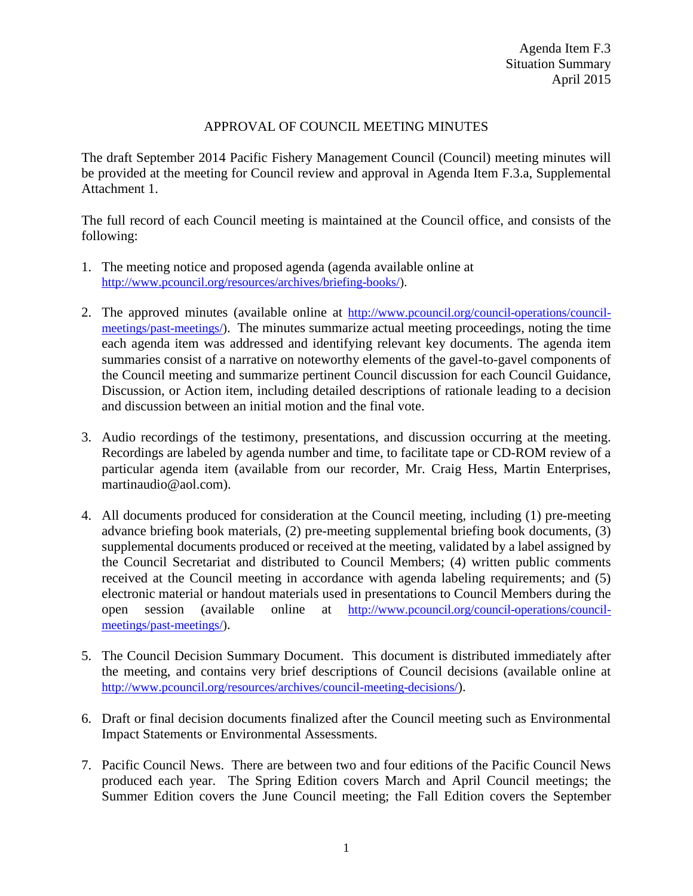# APPROVAL OF COUNCIL MEETING MINUTES

The draft September 2014 Pacific Fishery Management Council (Council) meeting minutes will be provided at the meeting for Council review and approval in Agenda Item F.3.a, Supplemental Attachment 1.

The full record of each Council meeting is maintained at the Council office, and consists of the following:

- 1. The meeting notice and proposed agenda (agenda available online at [http://www.pcouncil.org/resources/archives/briefing-books/\)](http://www.pcouncil.org/resources/archives/briefing-books/).
- 2. The approved minutes (available online at [http://www.pcouncil.org/council-operations/council](http://www.pcouncil.org/council-operations/council-meetings/past-meetings/)[meetings/past-meetings/\)](http://www.pcouncil.org/council-operations/council-meetings/past-meetings/). The minutes summarize actual meeting proceedings, noting the time each agenda item was addressed and identifying relevant key documents. The agenda item summaries consist of a narrative on noteworthy elements of the gavel-to-gavel components of the Council meeting and summarize pertinent Council discussion for each Council Guidance, Discussion, or Action item, including detailed descriptions of rationale leading to a decision and discussion between an initial motion and the final vote.
- 3. Audio recordings of the testimony, presentations, and discussion occurring at the meeting. Recordings are labeled by agenda number and time, to facilitate tape or CD-ROM review of a particular agenda item (available from our recorder, Mr. Craig Hess, Martin Enterprises, martinaudio@aol.com).
- 4. All documents produced for consideration at the Council meeting, including (1) pre-meeting advance briefing book materials, (2) pre-meeting supplemental briefing book documents, (3) supplemental documents produced or received at the meeting, validated by a label assigned by the Council Secretariat and distributed to Council Members; (4) written public comments received at the Council meeting in accordance with agenda labeling requirements; and (5) electronic material or handout materials used in presentations to Council Members during the open session (available online at http://www.pcouncil.org/council-operations/councilopen session (available online at [http://www.pcouncil.org/council-operations/council](http://www.pcouncil.org/council-operations/council-meetings/past-meetings/)[meetings/past-meetings/\)](http://www.pcouncil.org/council-operations/council-meetings/past-meetings/).
- 5. The Council Decision Summary Document. This document is distributed immediately after the meeting, and contains very brief descriptions of Council decisions (available online at [http://www.pcouncil.org/resources/archives/council-meeting-decisions/\)](http://www.pcouncil.org/resources/archives/council-meeting-decisions/).
- 6. Draft or final decision documents finalized after the Council meeting such as Environmental Impact Statements or Environmental Assessments.
- 7. Pacific Council News. There are between two and four editions of the Pacific Council News produced each year. The Spring Edition covers March and April Council meetings; the Summer Edition covers the June Council meeting; the Fall Edition covers the September